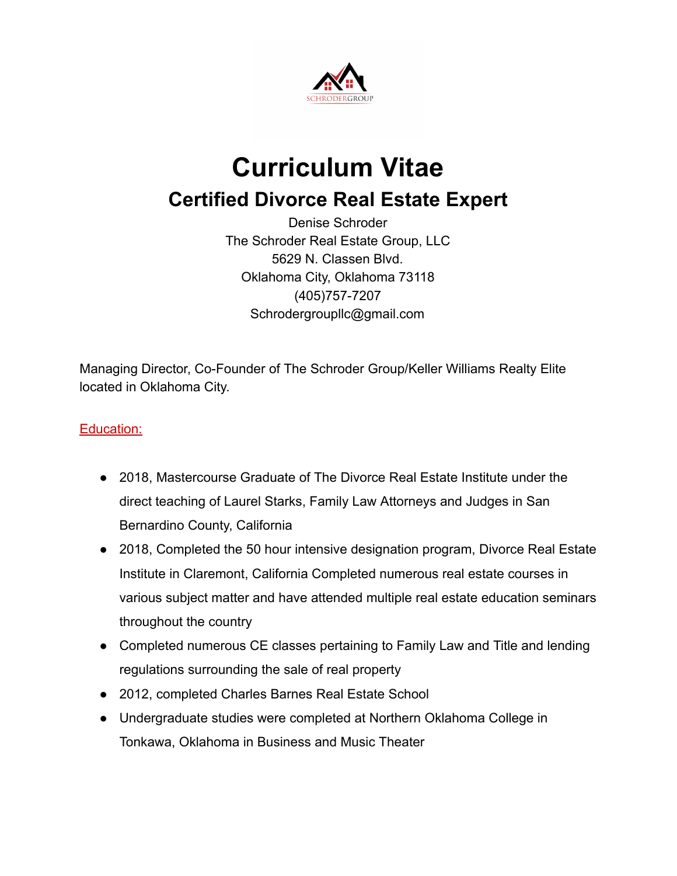

# **Curriculum Vitae Certified Divorce Real Estate Expert**

Denise Schroder The Schroder Real Estate Group, LLC 5629 N. Classen Blvd. Oklahoma City, Oklahoma 73118 (405) 757-7207 Schrodergroupllc@gmail.com

Managing Director, Co-Founder of The Schroder Group/Keller Williams Realty Elite located in Oklahoma City.

## Education:

- 2018, Mastercourse Graduate of The Divorce Real Estate Institute under the direct teaching of Laurel Starks, Family Law Attorneys and Judges in San Bernardino County, California
- 2018, Completed the 50 hour intensive designation program, Divorce Real Estate Institute in Claremont, California Completed numerous real estate courses in various subject matter and have attended multiple real estate education seminars throughout the country
- Completed numerous CE classes pertaining to Family Law and Title and lending regulations surrounding the sale of real property
- 2012, completed Charles Barnes Real Estate School
- Undergraduate studies were completed at Northern Oklahoma College in Tonkawa, Oklahoma in Business and Music Theater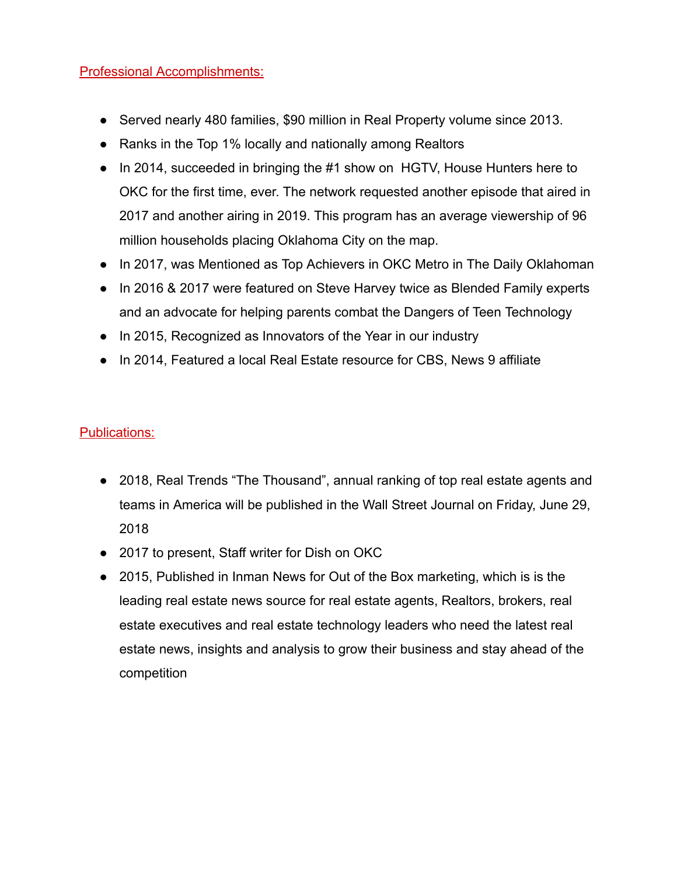#### Professional Accomplishments:

- Served nearly 480 families, \$90 million in Real Property volume since 2013.
- Ranks in the Top 1% locally and nationally among Realtors
- In 2014, succeeded in bringing the #1 show on HGTV, House Hunters here to OKC for the first time, ever. The network requested another episode that aired in 2017 and another airing in 2019. This program has an average viewership of 96 million households placing Oklahoma City on the map.
- In 2017, was Mentioned as Top Achievers in OKC Metro in The Daily Oklahoman
- In 2016 & 2017 were featured on Steve Harvey twice as Blended Family experts and an advocate for helping parents combat the Dangers of Teen Technology
- In 2015, Recognized as Innovators of the Year in our industry
- In 2014, Featured a local Real Estate resource for CBS, News 9 affiliate

#### Publications:

- 2018, Real Trends "The Thousand", annual ranking of top real estate agents and teams in America will be published in the Wall Street Journal on Friday, June 29, 2018
- 2017 to present, Staff writer for Dish on OKC
- 2015, Published in Inman News for Out of the Box marketing, which is is the leading real estate news source for real estate agents, Realtors, brokers, real estate executives and real estate technology leaders who need the latest real estate news, insights and analysis to grow their business and stay ahead of the competition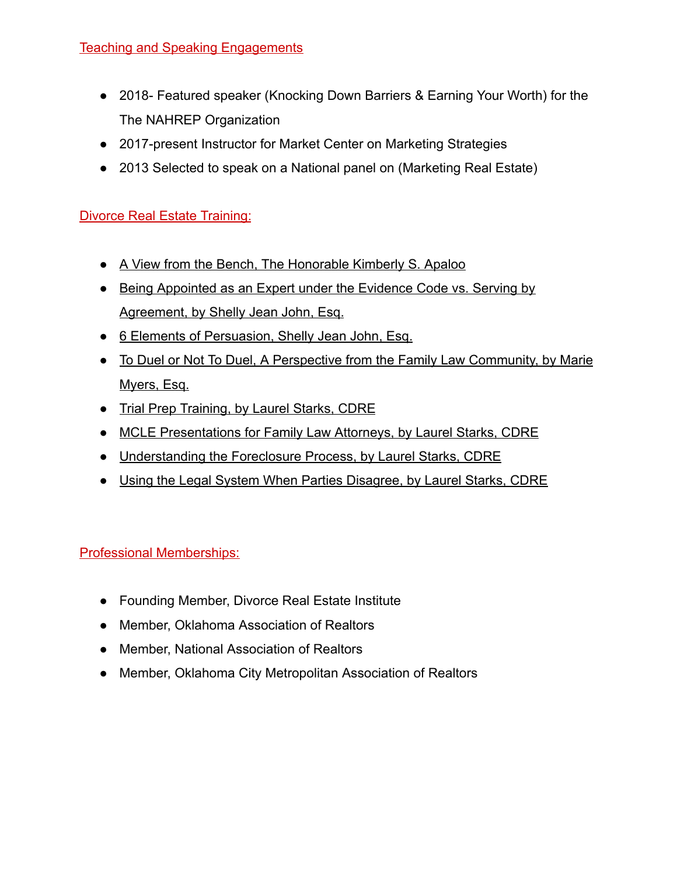## Teaching and Speaking Engagements

- 2018- Featured speaker (Knocking Down Barriers & Earning Your Worth) for the The NAHREP Organization
- 2017-present Instructor for Market Center on Marketing Strategies
- 2013 Selected to speak on a National panel on (Marketing Real Estate)

## **Divorce Real Estate Training:**

- A View from the Bench, The Honorable Kimberly S. Apaloo
- Being Appointed as an Expert under the Evidence Code vs. Serving by Agreement, by Shelly Jean John, Esq.
- 6 Elements of Persuasion, Shelly Jean John, Esq.
- To Duel or Not To Duel, A Perspective from the Family Law Community, by Marie Myers, Esq.
- Trial Prep Training, by Laurel Starks, CDRE
- MCLE Presentations for Family Law Attorneys, by Laurel Starks, CDRE
- Understanding the Foreclosure Process, by Laurel Starks, CDRE
- Using the Legal System When Parties Disagree, by Laurel Starks, CDRE

# Professional Memberships:

- Founding Member, Divorce Real Estate Institute
- Member, Oklahoma Association of Realtors
- Member, National Association of Realtors
- Member, Oklahoma City Metropolitan Association of Realtors